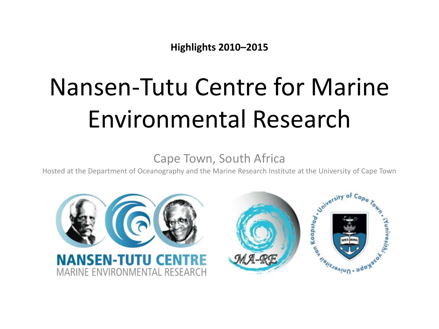**Highlights 2010–2015**

# Nansen-Tutu Centre for Marine Environmental Research

Cape Town, South Africa

Hosted at the Department of Oceanography and the Marine Research Institute at the University of Cape Town

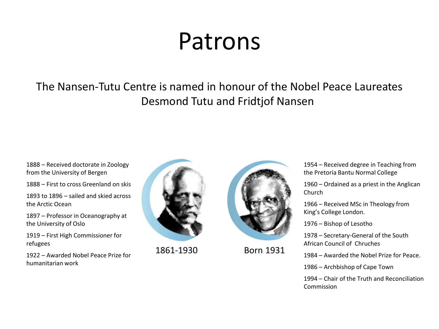### Patrons

The Nansen-Tutu Centre is named in honour of the Nobel Peace Laureates Desmond Tutu and Fridtjof Nansen

1888 – Received doctorate in Zoology from the University of Bergen

1888 – First to cross Greenland on skis

1893 to 1896 – sailed and skied across the Arctic Ocean

1897 – Professor in Oceanography at the University of Oslo

1919 – First High Commissioner for refugees

1922 – Awarded Nobel Peace Prize for humanitarian work



1861-1930 Born 1931



1954 – Received degree in Teaching from the Pretoria Bantu Normal College

1960 – Ordained as a priest in the Anglican Church

1966 – Received MSc in Theology from King's College London.

1976 – Bishop of Lesotho

1978 – Secretary-General of the South African Council of Chruches

1984 – Awarded the Nobel Prize for Peace.

1986 – Archbishop of Cape Town

1994 – Chair of the Truth and Reconciliation Commission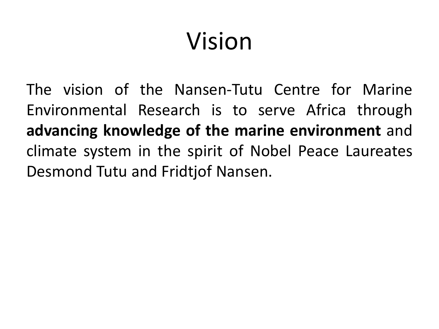# Vision

The vision of the Nansen-Tutu Centre for Marine Environmental Research is to serve Africa through **advancing knowledge of the marine environment** and climate system in the spirit of Nobel Peace Laureates Desmond Tutu and Fridtjof Nansen.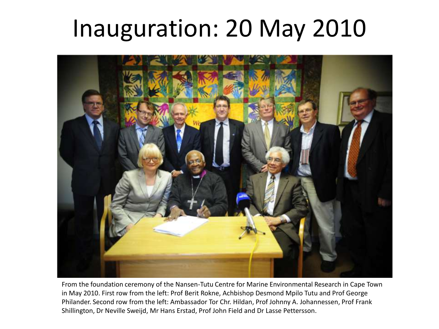### Inauguration: 20 May 2010



From the foundation ceremony of the Nansen-Tutu Centre for Marine Environmental Research in Cape Town in May 2010. First row from the left: Prof Berit Rokne, Achbishop Desmond Mpilo Tutu and Prof George Philander. Second row from the left: Ambassador Tor Chr. Hildan, Prof Johnny A. Johannessen, Prof Frank Shillington, Dr Neville Sweijd, Mr Hans Erstad, Prof John Field and Dr Lasse Pettersson.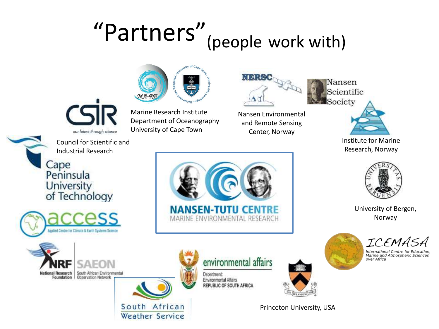# "Partners"(people work with)







Nansen Environmental and Remote Sensing Center, Norway

Nansen Scientific Society



Institute for Marine Research, Norway



University of Bergen, Norway



International Centre for Education,<br>Marine and Atmospheric Sciences over Africa

Council for Scientific and Industrial Research Cape<br>Peninsula **University** of Technology

our future through science









environmental affairs

Department: Environmental Affairs REPUBLIC OF SOUTH AFRICA



Princeton University, USA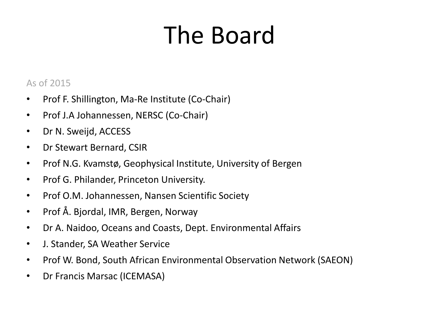# The Board

#### As of 2015

- Prof F. Shillington, Ma-Re Institute (Co-Chair)
- Prof J.A Johannessen, NERSC (Co-Chair)
- Dr N. Sweijd, ACCESS
- Dr Stewart Bernard, CSIR
- Prof N.G. Kvamstø, Geophysical Institute, University of Bergen
- Prof G. Philander, Princeton University.
- Prof O.M. Johannessen, Nansen Scientific Society
- Prof Å. Bjordal, IMR, Bergen, Norway
- Dr A. Naidoo, Oceans and Coasts, Dept. Environmental Affairs
- J. Stander, SA Weather Service
- Prof W. Bond, South African Environmental Observation Network (SAEON)
- Dr Francis Marsac (ICEMASA)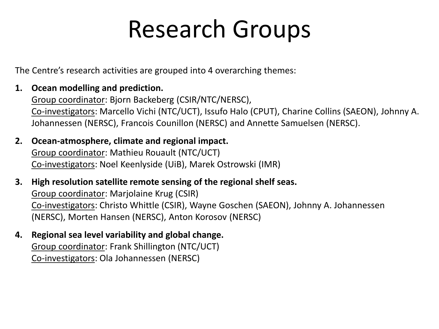## Research Groups

The Centre's research activities are grouped into 4 overarching themes:

**1. Ocean modelling and prediction.**

Group coordinator: Bjorn Backeberg (CSIR/NTC/NERSC), Co-investigators: Marcello Vichi (NTC/UCT), Issufo Halo (CPUT), Charine Collins (SAEON), Johnny A. Johannessen (NERSC), Francois Counillon (NERSC) and Annette Samuelsen (NERSC).

- **2. Ocean-atmosphere, climate and regional impact.** Group coordinator: Mathieu Rouault (NTC/UCT) Co-investigators: Noel Keenlyside (UiB), Marek Ostrowski (IMR)
- **3. High resolution satellite remote sensing of the regional shelf seas.** Group coordinator: Marjolaine Krug (CSIR) Co-investigators: Christo Whittle (CSIR), Wayne Goschen (SAEON), Johnny A. Johannessen (NERSC), Morten Hansen (NERSC), Anton Korosov (NERSC)
- **4. Regional sea level variability and global change.** Group coordinator: Frank Shillington (NTC/UCT) Co-investigators: Ola Johannessen (NERSC)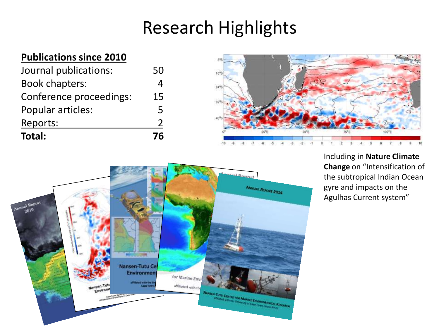### Research Highlights

#### **Publications since 2010**

| Journal publications:   | 50 |
|-------------------------|----|
| <b>Book chapters:</b>   | 4  |
| Conference proceedings: | 15 |
| Popular articles:       | 5  |
| Reports:                | 2  |
| Total:                  | 76 |





Including in **Nature Climate Change** on "Intensification of the subtropical Indian Ocean gyre and impacts on the Agulhas Current system"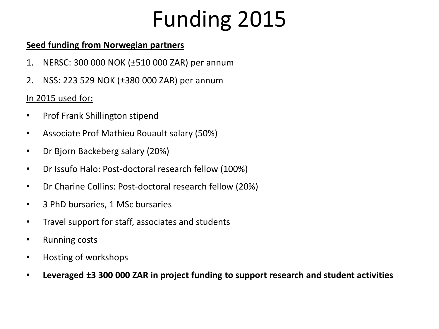### Funding 2015

#### **Seed funding from Norwegian partners**

- 1. NERSC: 300 000 NOK (±510 000 ZAR) per annum
- 2. NSS: 223 529 NOK (±380 000 ZAR) per annum

#### In 2015 used for:

- Prof Frank Shillington stipend
- Associate Prof Mathieu Rouault salary (50%)
- Dr Bjorn Backeberg salary (20%)
- Dr Issufo Halo: Post-doctoral research fellow (100%)
- Dr Charine Collins: Post-doctoral research fellow (20%)
- 3 PhD bursaries, 1 MSc bursaries
- Travel support for staff, associates and students
- Running costs
- Hosting of workshops
- **Leveraged ±3 300 000 ZAR in project funding to support research and student activities**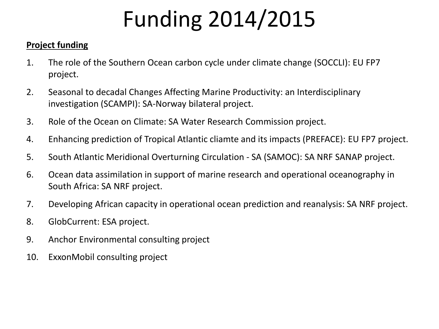# Funding 2014/2015

#### **Project funding**

- 1. The role of the Southern Ocean carbon cycle under climate change (SOCCLI): EU FP7 project.
- 2. Seasonal to decadal Changes Affecting Marine Productivity: an Interdisciplinary investigation (SCAMPI): SA-Norway bilateral project.
- 3. Role of the Ocean on Climate: SA Water Research Commission project.
- 4. Enhancing prediction of Tropical Atlantic cliamte and its impacts (PREFACE): EU FP7 project.
- 5. South Atlantic Meridional Overturning Circulation SA (SAMOC): SA NRF SANAP project.
- 6. Ocean data assimilation in support of marine research and operational oceanography in South Africa: SA NRF project.
- 7. Developing African capacity in operational ocean prediction and reanalysis: SA NRF project.
- 8. GlobCurrent: ESA project.
- 9. Anchor Environmental consulting project
- 10. ExxonMobil consulting project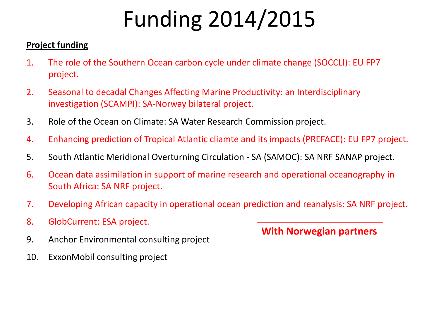# Funding 2014/2015

#### **Project funding**

- 1. The role of the Southern Ocean carbon cycle under climate change (SOCCLI): EU FP7 project.
- 2. Seasonal to decadal Changes Affecting Marine Productivity: an Interdisciplinary investigation (SCAMPI): SA-Norway bilateral project.
- 3. Role of the Ocean on Climate: SA Water Research Commission project.
- 4. Enhancing prediction of Tropical Atlantic cliamte and its impacts (PREFACE): EU FP7 project.
- 5. South Atlantic Meridional Overturning Circulation SA (SAMOC): SA NRF SANAP project.
- 6. Ocean data assimilation in support of marine research and operational oceanography in South Africa: SA NRF project.
- 7. Developing African capacity in operational ocean prediction and reanalysis: SA NRF project.
- 8. GlobCurrent: ESA project.
- 9. Anchor Environmental consulting project
- 10. ExxonMobil consulting project

**With Norwegian partners**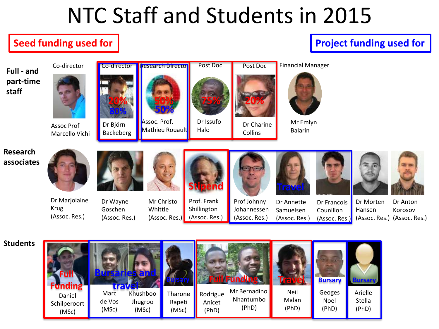### NTC Staff and Students in 2015

#### **Seed funding used for**

#### **Project funding used for**

**Full - and part-time staff**



Assoc Prof Marcello Vichi





Dr Björn Backeberg







Mr Emlyn Balarin

**Research associates**



Dr Marjolaine Krug (Assoc. Res.)



Mr Christo Whittle (Assoc. Res.) Prof. Frank Shillington (Assoc. Res.)



Prof Johnny Johannessen (Assoc. Res.)

Collins

Dr Annette Samuelsen (Assoc. Res.)

**Travel**

Dr Francois Counillon (Assoc. Res.)





Dr Morten Hansen (Assoc. Res.) (Assoc. Res.) Dr Anton Korosov



**Students**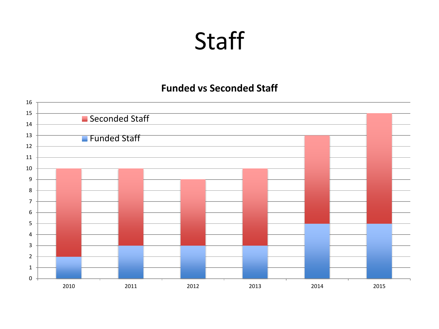### **Staff**

#### **Funded vs Seconded Staff**

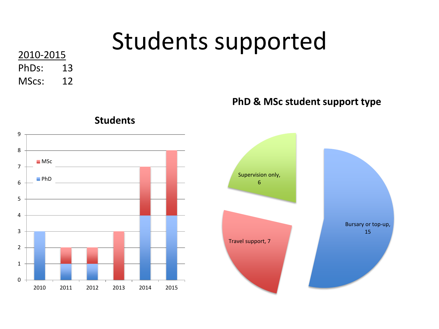# Students supported 2010-2015

PhDs: 13 MScs: 12

**PhD & MSc student support type**

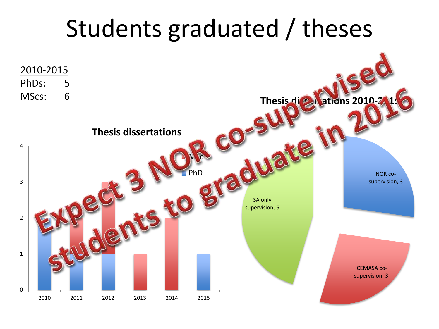### Students graduated / theses

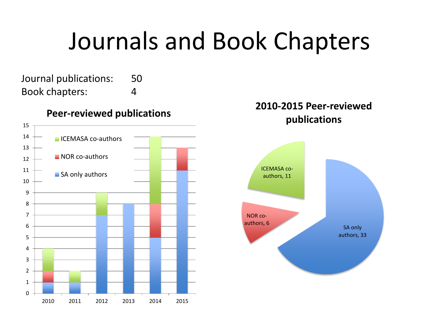### Journals and Book Chapters

Journal publications: 50 Book chapters: 4

#### **Peer-reviewed publications**



#### **2010-2015 Peer-reviewed publications**

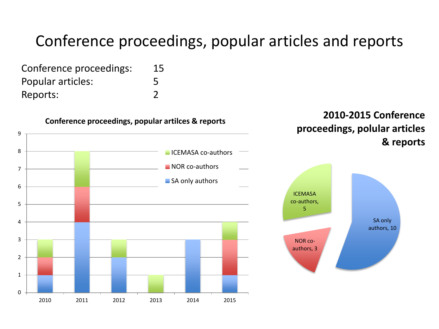#### Conference proceedings, popular articles and reports

Conference proceedings: 15

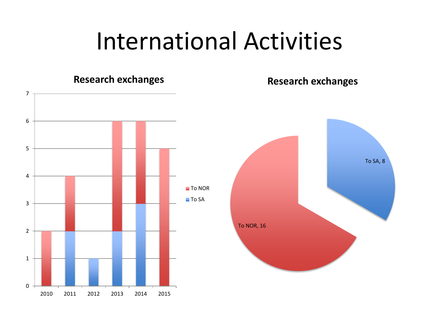### International Activities

#### 0 1 2 3 4 5 6 7 **Research exchanges** ■ To NOR ■To SA To SA, 8 To NOR, 16 **Research exchanges**

2010 2011 2012 2013 2014 2015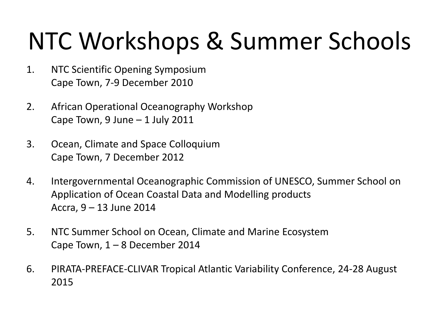# NTC Workshops & Summer Schools

- 1. NTC Scientific Opening Symposium Cape Town, 7-9 December 2010
- 2. African Operational Oceanography Workshop Cape Town, 9 June  $-1$  July 2011
- 3. Ocean, Climate and Space Colloquium Cape Town, 7 December 2012
- 4. Intergovernmental Oceanographic Commission of UNESCO, Summer School on Application of Ocean Coastal Data and Modelling products Accra, 9 – 13 June 2014
- 5. NTC Summer School on Ocean, Climate and Marine Ecosystem Cape Town,  $1 - 8$  December 2014
- 6. PIRATA-PREFACE-CLIVAR Tropical Atlantic Variability Conference, 24-28 August 2015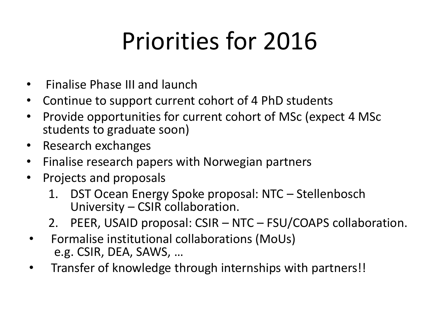# Priorities for 2016

- Finalise Phase III and launch
- Continue to support current cohort of 4 PhD students
- Provide opportunities for current cohort of MSc (expect 4 MSc students to graduate soon)
- Research exchanges
- Finalise research papers with Norwegian partners
- Projects and proposals
	- 1. DST Ocean Energy Spoke proposal: NTC Stellenbosch University – CSIR collaboration.
	- 2. PEER, USAID proposal: CSIR NTC FSU/COAPS collaboration.
- Formalise institutional collaborations (MoUs) e.g. CSIR, DEA, SAWS, …
- Transfer of knowledge through internships with partners!!